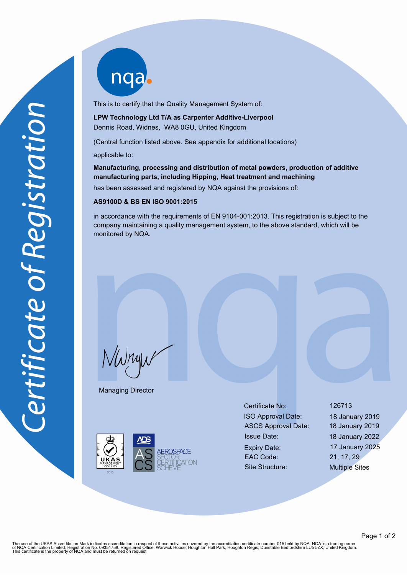nqab

This is to certify that the Quality Management System of:

**LPW Technology Ltd T/A as Carpenter Additive-Liverpool** Dennis Road, Widnes, WA8 0GU, United Kingdom

(Central function listed above. See appendix for additional locations)

applicable to:

**Manufacturing, processing and distribution of metal powders, production of additive manufacturing parts, including Hipping, Heat treatment and machining**

has been assessed and registered by NQA against the provisions of:

## **AS9100D & BS EN ISO 9001:2015**

in accordance with the requirements of EN 9104-001:2013. This registration is subject to the company maintaining a quality management system, to the above standard, which will be monitored by NQA.

 $N$ W $n$ y

Managing Director



Certificate No: 126713 ISO Approval Date: 18 January 2019 ASCS Approval Date: 18 January 2019 Issue Date: 18 January 2022 Expiry Date: 17 January 2025 EAC Code: 21, 17, 29

Site Structure: Multiple Sites